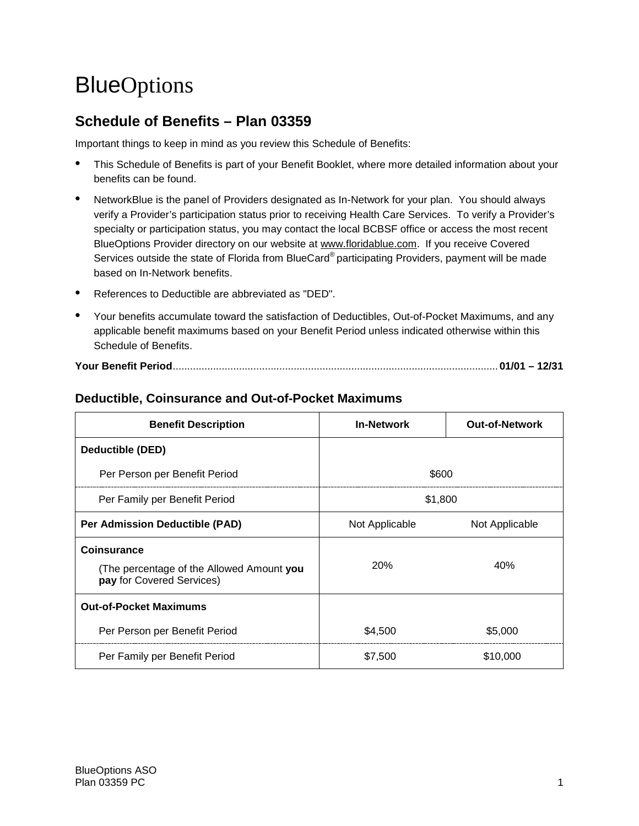# **BlueOptions**

# **Schedule of Benefits – Plan 03359**

Important things to keep in mind as you review this Schedule of Benefits:

- This Schedule of Benefits is part of your Benefit Booklet, where more detailed information about your benefits can be found.
- NetworkBlue is the panel of Providers designated as In-Network for your plan. You should always verify a Provider's participation status prior to receiving Health Care Services. To verify a Provider's specialty or participation status, you may contact the local BCBSF office or access the most recent BlueOptions Provider directory on our website at www.floridablue.com. If you receive Covered Services outside the state of Florida from BlueCard<sup>®</sup> participating Providers, payment will be made based on In-Network benefits.
- References to Deductible are abbreviated as "DED".
- Your benefits accumulate toward the satisfaction of Deductibles, Out-of-Pocket Maximums, and any applicable benefit maximums based on your Benefit Period unless indicated otherwise within this Schedule of Benefits.

|--|--|--|

| <b>Benefit Description</b>                                                                   | <b>In-Network</b> | <b>Out-of-Network</b> |
|----------------------------------------------------------------------------------------------|-------------------|-----------------------|
| Deductible (DED)                                                                             |                   |                       |
| Per Person per Benefit Period                                                                | \$600             |                       |
| Per Family per Benefit Period                                                                | \$1,800           |                       |
| <b>Per Admission Deductible (PAD)</b>                                                        | Not Applicable    | Not Applicable        |
| <b>Coinsurance</b><br>(The percentage of the Allowed Amount you<br>pay for Covered Services) | <b>20%</b>        | 40%                   |
| <b>Out-of-Pocket Maximums</b>                                                                |                   |                       |
| Per Person per Benefit Period                                                                | \$4,500           | \$5,000               |
| Per Family per Benefit Period                                                                | \$7,500           | \$10,000              |

# **Deductible, Coinsurance and Out-of-Pocket Maximums**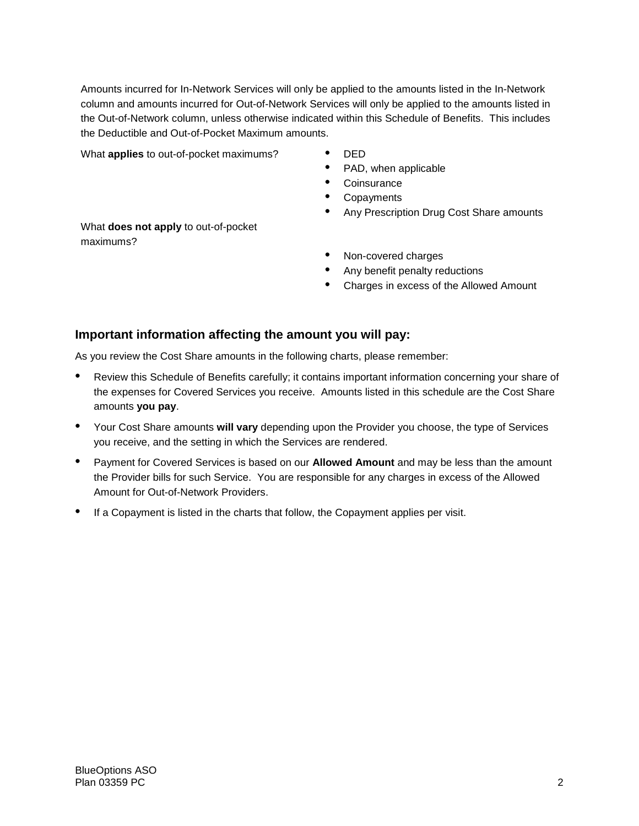Amounts incurred for In-Network Services will only be applied to the amounts listed in the In-Network column and amounts incurred for Out-of-Network Services will only be applied to the amounts listed in the Out-of-Network column, unless otherwise indicated within this Schedule of Benefits. This includes the Deductible and Out-of-Pocket Maximum amounts.

What **applies** to out-of-pocket maximums? • DED

- 
- PAD, when applicable
- Coinsurance
- **Copayments**
- Any Prescription Drug Cost Share amounts

What **does not apply** to out-of-pocket maximums?

- Non-covered charges
- Any benefit penalty reductions
- Charges in excess of the Allowed Amount

### **Important information affecting the amount you will pay:**

As you review the Cost Share amounts in the following charts, please remember:

- Review this Schedule of Benefits carefully; it contains important information concerning your share of the expenses for Covered Services you receive. Amounts listed in this schedule are the Cost Share amounts **you pay**.
- Your Cost Share amounts **will vary** depending upon the Provider you choose, the type of Services you receive, and the setting in which the Services are rendered.
- Payment for Covered Services is based on our **Allowed Amount** and may be less than the amount the Provider bills for such Service. You are responsible for any charges in excess of the Allowed Amount for Out-of-Network Providers.
- If a Copayment is listed in the charts that follow, the Copayment applies per visit.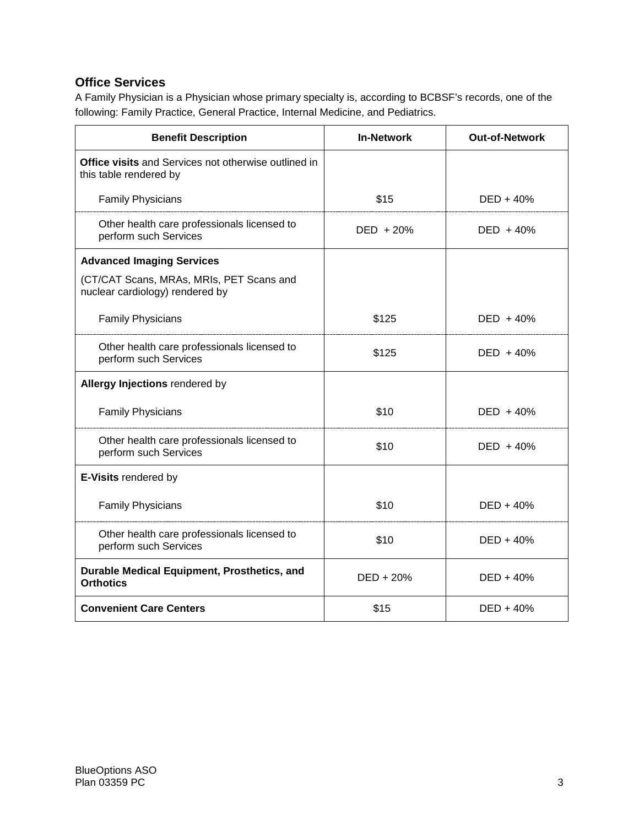# **Office Services**

A Family Physician is a Physician whose primary specialty is, according to BCBSF's records, one of the following: Family Practice, General Practice, Internal Medicine, and Pediatrics.

| <b>Benefit Description</b>                                                            | <b>In-Network</b> | <b>Out-of-Network</b> |
|---------------------------------------------------------------------------------------|-------------------|-----------------------|
| <b>Office visits and Services not otherwise outlined in</b><br>this table rendered by |                   |                       |
| <b>Family Physicians</b>                                                              | \$15              | $DED + 40%$           |
| Other health care professionals licensed to<br>perform such Services                  | $DED + 20%$       | $DED + 40%$           |
| <b>Advanced Imaging Services</b>                                                      |                   |                       |
| (CT/CAT Scans, MRAs, MRIs, PET Scans and<br>nuclear cardiology) rendered by           |                   |                       |
| <b>Family Physicians</b>                                                              | \$125             | DED + 40%             |
| Other health care professionals licensed to<br>perform such Services                  | \$125             | $DED + 40%$           |
| Allergy Injections rendered by                                                        |                   |                       |
| <b>Family Physicians</b>                                                              | \$10              | $DED + 40%$           |
| Other health care professionals licensed to<br>perform such Services                  | \$10              | $DED + 40%$           |
| E-Visits rendered by                                                                  |                   |                       |
| <b>Family Physicians</b>                                                              | \$10              | $DED + 40%$           |
| Other health care professionals licensed to<br>perform such Services                  | \$10              | $DED + 40%$           |
| Durable Medical Equipment, Prosthetics, and<br><b>Orthotics</b>                       | $DED + 20%$       | $DED + 40%$           |
| <b>Convenient Care Centers</b>                                                        | \$15              | $DED + 40%$           |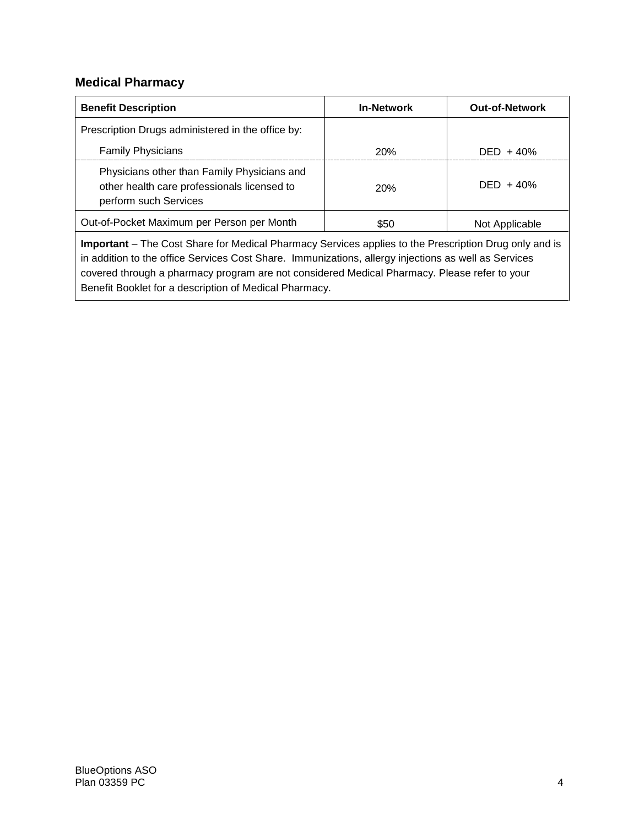# **Medical Pharmacy**

| <b>Benefit Description</b>                                                                                          | <b>In-Network</b> | <b>Out-of-Network</b> |
|---------------------------------------------------------------------------------------------------------------------|-------------------|-----------------------|
| Prescription Drugs administered in the office by:                                                                   |                   |                       |
| <b>Family Physicians</b>                                                                                            | <b>20%</b>        | $DED + 40%$           |
| Physicians other than Family Physicians and<br>other health care professionals licensed to<br>perform such Services | <b>20%</b>        | $DED + 40%$           |
| Out-of-Pocket Maximum per Person per Month                                                                          | \$50              | Not Applicable        |
| Important The Cent Chara for Medical Dharmaay Candose applies to the Dressmittian Drug apple and is                 |                   |                       |

**Important** – The Cost Share for Medical Pharmacy Services applies to the Prescription Drug only and is in addition to the office Services Cost Share. Immunizations, allergy injections as well as Services covered through a pharmacy program are not considered Medical Pharmacy. Please refer to your Benefit Booklet for a description of Medical Pharmacy.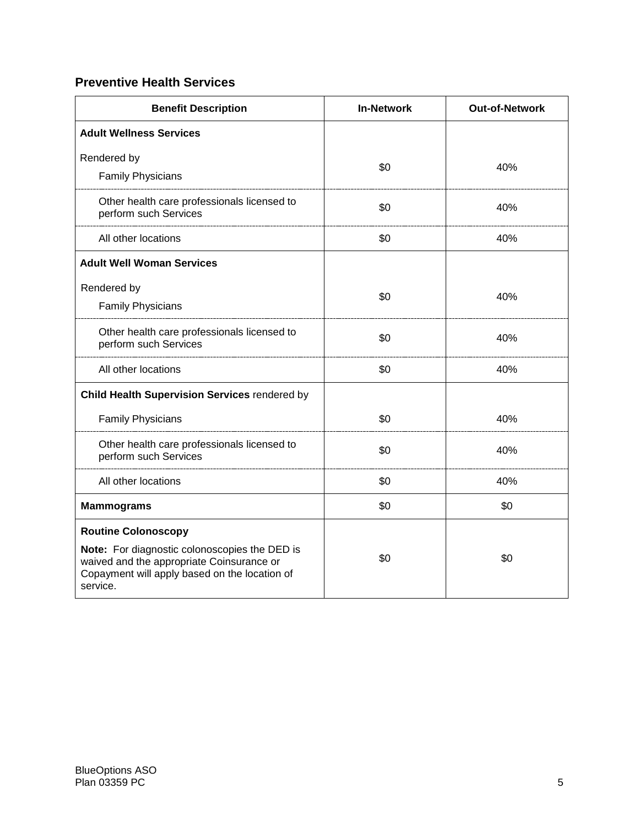# **Preventive Health Services**

| <b>Benefit Description</b>                                                                                                                                                            | <b>In-Network</b> | <b>Out-of-Network</b> |
|---------------------------------------------------------------------------------------------------------------------------------------------------------------------------------------|-------------------|-----------------------|
| <b>Adult Wellness Services</b>                                                                                                                                                        |                   |                       |
| Rendered by<br><b>Family Physicians</b>                                                                                                                                               | \$0               | 40%                   |
| Other health care professionals licensed to<br>perform such Services                                                                                                                  | \$0               | 40%                   |
| All other locations                                                                                                                                                                   | \$0               | 40%                   |
| <b>Adult Well Woman Services</b>                                                                                                                                                      |                   |                       |
| Rendered by<br><b>Family Physicians</b>                                                                                                                                               | \$0               | 40%                   |
| Other health care professionals licensed to<br>perform such Services                                                                                                                  | \$0               | 40%                   |
| All other locations                                                                                                                                                                   | \$0               | 40%                   |
| Child Health Supervision Services rendered by                                                                                                                                         |                   |                       |
| <b>Family Physicians</b>                                                                                                                                                              | \$0               | 40%                   |
| Other health care professionals licensed to<br>perform such Services                                                                                                                  | \$0               | 40%                   |
| All other locations                                                                                                                                                                   | \$0               | 40%                   |
| <b>Mammograms</b>                                                                                                                                                                     | \$0               | \$0                   |
| <b>Routine Colonoscopy</b><br>Note: For diagnostic colonoscopies the DED is<br>waived and the appropriate Coinsurance or<br>Copayment will apply based on the location of<br>service. | \$0               | \$0                   |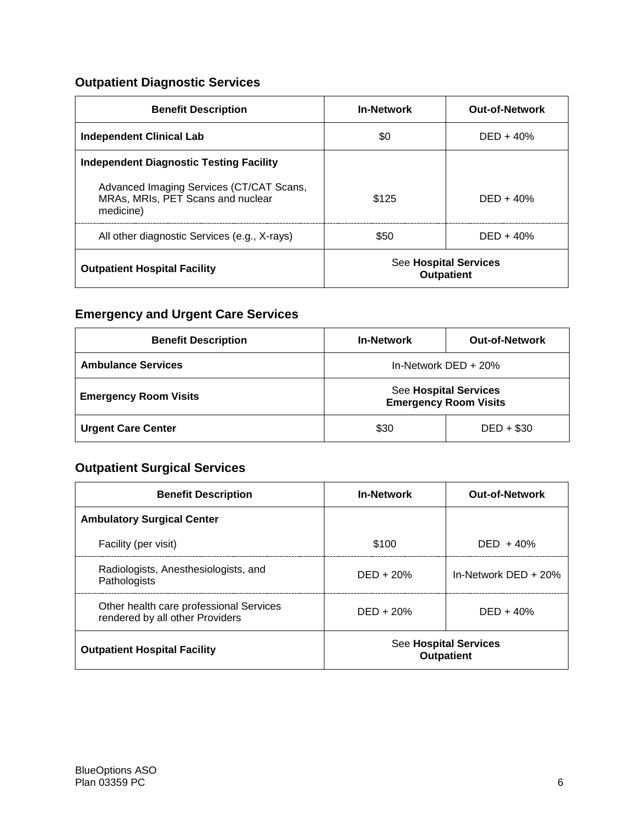# **Outpatient Diagnostic Services**

| <b>Benefit Description</b>                                                                 | <b>In-Network</b>                          | <b>Out-of-Network</b> |
|--------------------------------------------------------------------------------------------|--------------------------------------------|-----------------------|
| <b>Independent Clinical Lab</b>                                                            | \$0                                        | $DED + 40%$           |
| Independent Diagnostic Testing Facility                                                    |                                            |                       |
| Advanced Imaging Services (CT/CAT Scans,<br>MRAs, MRIs, PET Scans and nuclear<br>medicine) | \$125                                      | $DFD + 40%$           |
| All other diagnostic Services (e.g., X-rays)                                               | \$50                                       | $DED + 40%$           |
| <b>Outpatient Hospital Facility</b>                                                        | See Hospital Services<br><b>Outpatient</b> |                       |

# **Emergency and Urgent Care Services**

| <b>Benefit Description</b>   | <b>In-Network</b>                                            | <b>Out-of-Network</b> |
|------------------------------|--------------------------------------------------------------|-----------------------|
| <b>Ambulance Services</b>    | In-Network $DED + 20%$                                       |                       |
| <b>Emergency Room Visits</b> | <b>See Hospital Services</b><br><b>Emergency Room Visits</b> |                       |
| <b>Urgent Care Center</b>    | \$30                                                         | $DED + $30$           |

# **Outpatient Surgical Services**

| <b>Benefit Description</b>                                                 | <b>In-Network</b>                                 | <b>Out-of-Network</b>  |
|----------------------------------------------------------------------------|---------------------------------------------------|------------------------|
| <b>Ambulatory Surgical Center</b>                                          |                                                   |                        |
| Facility (per visit)                                                       | \$100                                             | $DED + 40%$            |
| Radiologists, Anesthesiologists, and<br>Pathologists                       | $DED + 20%$                                       | In-Network $DED + 20%$ |
| Other health care professional Services<br>rendered by all other Providers | $DED + 20%$                                       | $DED + 40%$            |
| <b>Outpatient Hospital Facility</b>                                        | <b>See Hospital Services</b><br><b>Outpatient</b> |                        |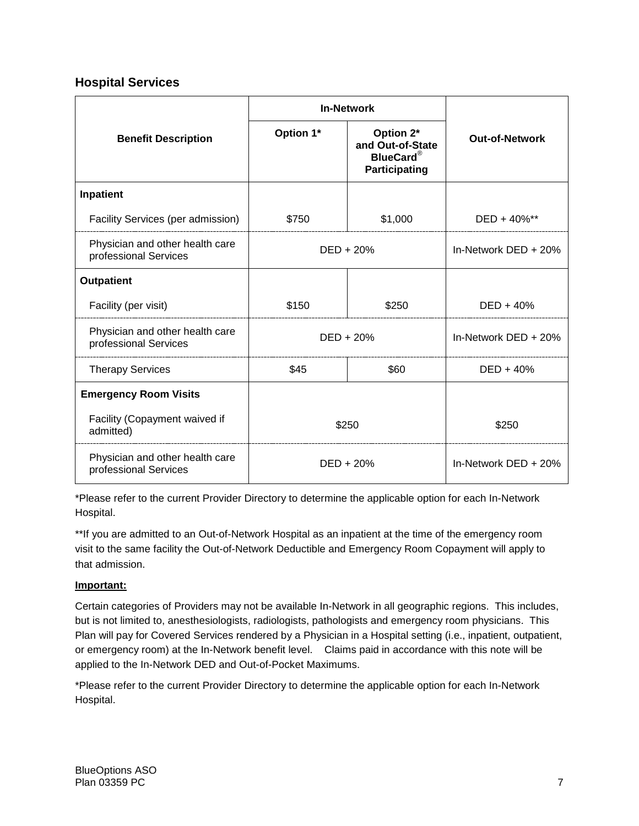### **Hospital Services**

| <b>In-Network</b>                                        |             |                                                                    |                       |
|----------------------------------------------------------|-------------|--------------------------------------------------------------------|-----------------------|
| <b>Benefit Description</b>                               | Option 1*   | Option 2*<br>and Out-of-State<br><b>BlueCard®</b><br>Participating | <b>Out-of-Network</b> |
| Inpatient                                                |             |                                                                    |                       |
| Facility Services (per admission)                        | \$750       | \$1,000                                                            | DED + 40%**           |
| Physician and other health care<br>professional Services | $DED + 20%$ |                                                                    | In-Network DED $+20%$ |
| <b>Outpatient</b>                                        |             |                                                                    |                       |
| Facility (per visit)                                     | \$150       | \$250                                                              | $DED + 40%$           |
| Physician and other health care<br>professional Services | DED + 20%   |                                                                    | In-Network DED + 20%  |
| <b>Therapy Services</b>                                  | \$45        | \$60                                                               | $DED + 40%$           |
| <b>Emergency Room Visits</b>                             |             |                                                                    |                       |
| Facility (Copayment waived if<br>admitted)               | \$250       |                                                                    | \$250                 |
| Physician and other health care<br>professional Services |             | $DED + 20%$                                                        | In-Network DED $+20%$ |

\*Please refer to the current Provider Directory to determine the applicable option for each In-Network Hospital.

\*\*If you are admitted to an Out-of-Network Hospital as an inpatient at the time of the emergency room visit to the same facility the Out-of-Network Deductible and Emergency Room Copayment will apply to that admission.

#### **Important:**

Certain categories of Providers may not be available In-Network in all geographic regions. This includes, but is not limited to, anesthesiologists, radiologists, pathologists and emergency room physicians. This Plan will pay for Covered Services rendered by a Physician in a Hospital setting (i.e., inpatient, outpatient, or emergency room) at the In-Network benefit level. Claims paid in accordance with this note will be applied to the In-Network DED and Out-of-Pocket Maximums.

\*Please refer to the current Provider Directory to determine the applicable option for each In-Network Hospital.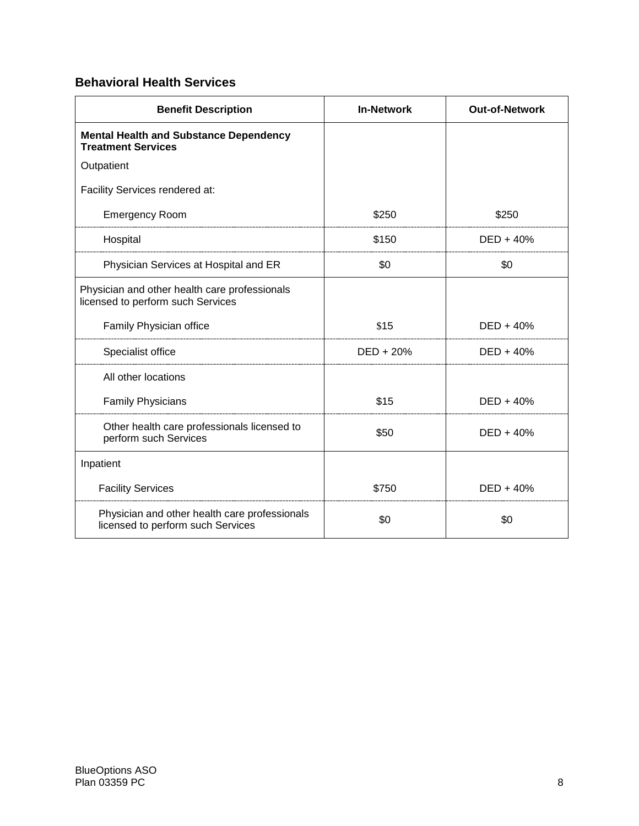# **Behavioral Health Services**

| <b>Benefit Description</b>                                                         | <b>In-Network</b> | <b>Out-of-Network</b> |
|------------------------------------------------------------------------------------|-------------------|-----------------------|
| <b>Mental Health and Substance Dependency</b><br><b>Treatment Services</b>         |                   |                       |
| Outpatient                                                                         |                   |                       |
| Facility Services rendered at:                                                     |                   |                       |
| <b>Emergency Room</b>                                                              | \$250             | \$250                 |
| Hospital                                                                           | \$150             | DED + 40%             |
| Physician Services at Hospital and ER                                              | \$0               | \$0                   |
| Physician and other health care professionals<br>licensed to perform such Services |                   |                       |
| Family Physician office                                                            | \$15              | $DED + 40%$           |
| Specialist office                                                                  | $DED + 20%$       | $DED + 40%$           |
| All other locations                                                                |                   |                       |
| <b>Family Physicians</b>                                                           | \$15              | $DED + 40%$           |
| Other health care professionals licensed to<br>perform such Services               | \$50              | $DED + 40%$           |
| Inpatient                                                                          |                   |                       |
| <b>Facility Services</b>                                                           | \$750             | $DED + 40%$           |
| Physician and other health care professionals<br>licensed to perform such Services | \$0               | \$0                   |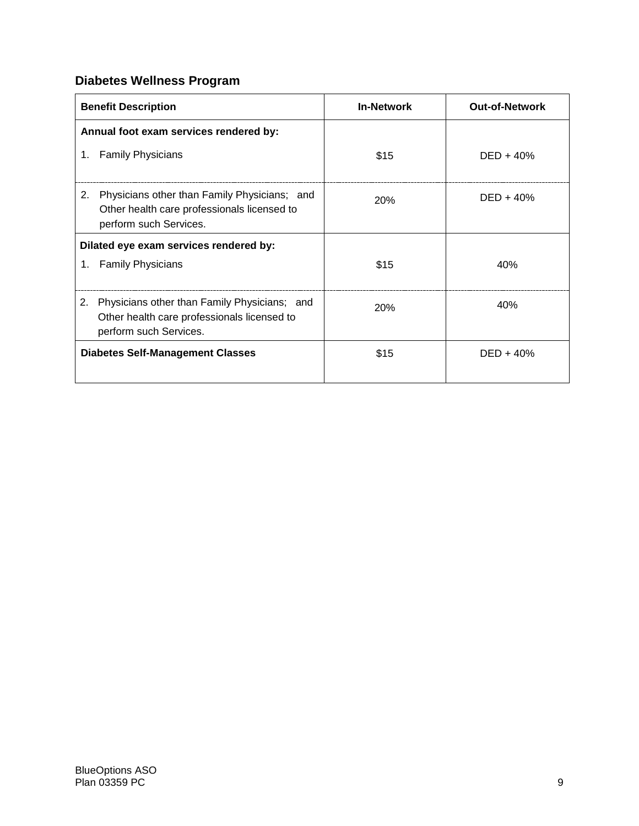# **Diabetes Wellness Program**

| <b>Benefit Description</b>                                                                                                  | <b>In-Network</b> | <b>Out-of-Network</b> |
|-----------------------------------------------------------------------------------------------------------------------------|-------------------|-----------------------|
| Annual foot exam services rendered by:                                                                                      |                   |                       |
| <b>Family Physicians</b><br>1.                                                                                              | \$15              | $DED + 40%$           |
| Physicians other than Family Physicians; and<br>2.<br>Other health care professionals licensed to<br>perform such Services. | 20%               | $DED + 40%$           |
| Dilated eye exam services rendered by:                                                                                      |                   |                       |
| 1. Family Physicians                                                                                                        | \$15              | 40%                   |
| Physicians other than Family Physicians; and<br>2.<br>Other health care professionals licensed to<br>perform such Services. | 20%               | 40%                   |
| <b>Diabetes Self-Management Classes</b>                                                                                     | \$15              | $DED + 40%$           |